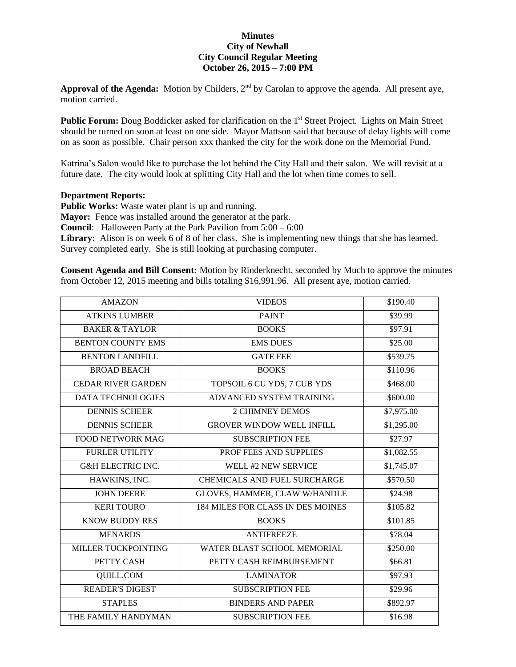## **Minutes City of Newhall City Council Regular Meeting October 26, 2015 – 7:00 PM**

Approval of the Agenda: Motion by Childers, 2<sup>nd</sup> by Carolan to approve the agenda. All present aye, motion carried.

**Public Forum:** Doug Boddicker asked for clarification on the 1<sup>st</sup> Street Project. Lights on Main Street should be turned on soon at least on one side. Mayor Mattson said that because of delay lights will come on as soon as possible. Chair person xxx thanked the city for the work done on the Memorial Fund.

Katrina's Salon would like to purchase the lot behind the City Hall and their salon. We will revisit at a future date. The city would look at splitting City Hall and the lot when time comes to sell.

## **Department Reports:**

**Public Works:** Waste water plant is up and running.

**Mayor:** Fence was installed around the generator at the park.

**Council**: Halloween Party at the Park Pavilion from 5:00 – 6:00

Library: Alison is on week 6 of 8 of her class. She is implementing new things that she has learned. Survey completed early. She is still looking at purchasing computer.

**Consent Agenda and Bill Consent:** Motion by Rinderknecht, seconded by Much to approve the minutes from October 12, 2015 meeting and bills totaling \$16,991.96. All present aye, motion carried.

| <b>AMAZON</b>                | <b>VIDEOS</b>                       | \$190.40   |
|------------------------------|-------------------------------------|------------|
| <b>ATKINS LUMBER</b>         | <b>PAINT</b>                        | \$39.99    |
| <b>BAKER &amp; TAYLOR</b>    | <b>BOOKS</b>                        | \$97.91    |
| <b>BENTON COUNTY EMS</b>     | <b>EMS DUES</b>                     | \$25.00    |
| <b>BENTON LANDFILL</b>       | <b>GATE FEE</b>                     | \$539.75   |
| <b>BROAD BEACH</b>           | <b>BOOKS</b>                        | \$110.96   |
| <b>CEDAR RIVER GARDEN</b>    | TOPSOIL 6 CU YDS, 7 CUB YDS         | \$468.00   |
| <b>DATA TECHNOLOGIES</b>     | ADVANCED SYSTEM TRAINING            | \$600.00   |
| <b>DENNIS SCHEER</b>         | <b>2 CHIMNEY DEMOS</b>              | \$7,975.00 |
| <b>DENNIS SCHEER</b>         | <b>GROVER WINDOW WELL INFILL</b>    | \$1,295.00 |
| <b>FOOD NETWORK MAG</b>      | <b>SUBSCRIPTION FEE</b>             | \$27.97    |
| <b>FURLER UTILITY</b>        | PROF FEES AND SUPPLIES              | \$1,082.55 |
| <b>G&amp;H ELECTRIC INC.</b> | WELL #2 NEW SERVICE                 | \$1,745.07 |
| HAWKINS, INC.                | <b>CHEMICALS AND FUEL SURCHARGE</b> | \$570.50   |
| <b>JOHN DEERE</b>            | GLOVES, HAMMER, CLAW W/HANDLE       | \$24.98    |
| <b>KERI TOURO</b>            | 184 MILES FOR CLASS IN DES MOINES   | \$105.82   |
| <b>KNOW BUDDY RES</b>        | <b>BOOKS</b>                        | \$101.85   |
| <b>MENARDS</b>               | <b>ANTIFREEZE</b>                   | \$78.04    |
| <b>MILLER TUCKPOINTING</b>   | WATER BLAST SCHOOL MEMORIAL         | \$250.00   |
| PETTY CASH                   | PETTY CASH REIMBURSEMENT            | \$66.81    |
| <b>QUILL.COM</b>             | <b>LAMINATOR</b>                    | \$97.93    |
| <b>READER'S DIGEST</b>       | <b>SUBSCRIPTION FEE</b>             | \$29.96    |
| <b>STAPLES</b>               | <b>BINDERS AND PAPER</b>            | \$892.97   |
| THE FAMILY HANDYMAN          | <b>SUBSCRIPTION FEE</b>             | \$16.98    |